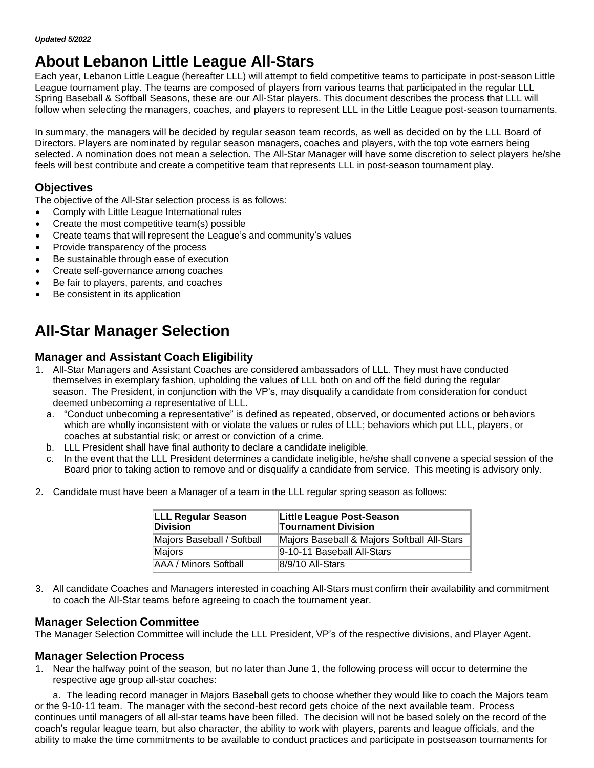# **About Lebanon Little League All-Stars**

Each year, Lebanon Little League (hereafter LLL) will attempt to field competitive teams to participate in post-season Little League tournament play. The teams are composed of players from various teams that participated in the regular LLL Spring Baseball & Softball Seasons, these are our All-Star players. This document describes the process that LLL will follow when selecting the managers, coaches, and players to represent LLL in the Little League post-season tournaments.

In summary, the managers will be decided by regular season team records, as well as decided on by the LLL Board of Directors. Players are nominated by regular season managers, coaches and players, with the top vote earners being selected. A nomination does not mean a selection. The All-Star Manager will have some discretion to select players he/she feels will best contribute and create a competitive team that represents LLL in post-season tournament play.

## **Objectives**

The objective of the All-Star selection process is as follows:

- Comply with Little League International rules
- Create the most competitive team(s) possible
- Create teams that will represent the League's and community's values
- Provide transparency of the process
- Be sustainable through ease of execution
- Create self-governance among coaches
- Be fair to players, parents, and coaches
- Be consistent in its application

# **All-Star Manager Selection**

### **Manager and Assistant Coach Eligibility**

- 1. All-Star Managers and Assistant Coaches are considered ambassadors of LLL. They must have conducted themselves in exemplary fashion, upholding the values of LLL both on and off the field during the regular season. The President, in conjunction with the VP's, may disqualify a candidate from consideration for conduct deemed unbecoming a representative of LLL.
	- a. "Conduct unbecoming a representative" is defined as repeated, observed, or documented actions or behaviors which are wholly inconsistent with or violate the values or rules of LLL; behaviors which put LLL, players, or coaches at substantial risk; or arrest or conviction of a crime.
	- b. LLL President shall have final authority to declare a candidate ineligible.
	- c. In the event that the LLL President determines a candidate ineligible, he/she shall convene a special session of the Board prior to taking action to remove and or disqualify a candidate from service. This meeting is advisory only.
- 2. Candidate must have been a Manager of a team in the LLL regular spring season as follows:

| <b>LLL Regular Season</b><br><b>Division</b> | Little League Post-Season<br><b>Tournament Division</b> |
|----------------------------------------------|---------------------------------------------------------|
| Majors Baseball / Softball                   | Majors Baseball & Majors Softball All-Stars             |
| Majors                                       | 9-10-11 Baseball All-Stars                              |
| AAA / Minors Softball                        | 8/9/10 All-Stars                                        |

3. All candidate Coaches and Managers interested in coaching All-Stars must confirm their availability and commitment to coach the All-Star teams before agreeing to coach the tournament year.

#### **Manager Selection Committee**

The Manager Selection Committee will include the LLL President, VP's of the respective divisions, and Player Agent.

#### **Manager Selection Process**

1. Near the halfway point of the season, but no later than June 1, the following process will occur to determine the respective age group all-star coaches:

a. The leading record manager in Majors Baseball gets to choose whether they would like to coach the Majors team or the 9-10-11 team. The manager with the second-best record gets choice of the next available team. Process continues until managers of all all-star teams have been filled. The decision will not be based solely on the record of the coach's regular league team, but also character, the ability to work with players, parents and league officials, and the ability to make the time commitments to be available to conduct practices and participate in postseason tournaments for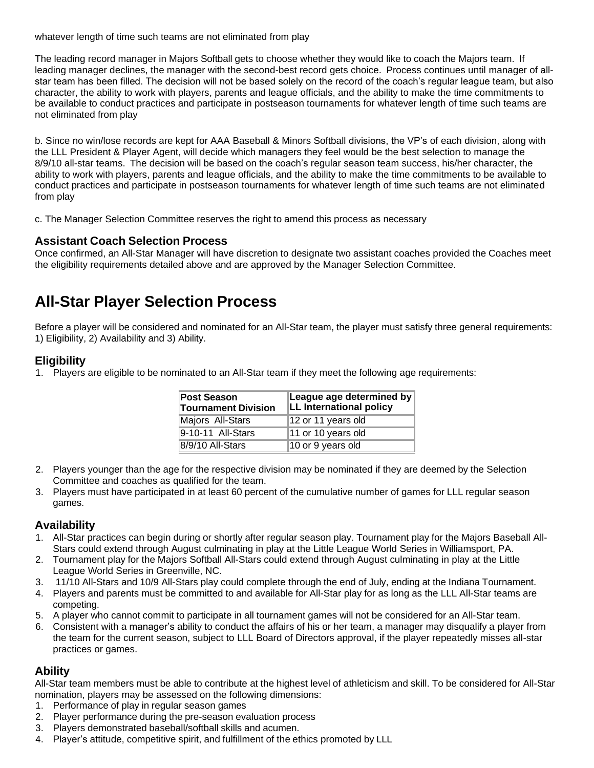whatever length of time such teams are not eliminated from play

The leading record manager in Majors Softball gets to choose whether they would like to coach the Majors team. If leading manager declines, the manager with the second-best record gets choice. Process continues until manager of allstar team has been filled. The decision will not be based solely on the record of the coach's regular league team, but also character, the ability to work with players, parents and league officials, and the ability to make the time commitments to be available to conduct practices and participate in postseason tournaments for whatever length of time such teams are not eliminated from play

b. Since no win/lose records are kept for AAA Baseball & Minors Softball divisions, the VP's of each division, along with the LLL President & Player Agent, will decide which managers they feel would be the best selection to manage the 8/9/10 all-star teams. The decision will be based on the coach's regular season team success, his/her character, the ability to work with players, parents and league officials, and the ability to make the time commitments to be available to conduct practices and participate in postseason tournaments for whatever length of time such teams are not eliminated from play

c. The Manager Selection Committee reserves the right to amend this process as necessary

#### **Assistant Coach Selection Process**

Once confirmed, an All-Star Manager will have discretion to designate two assistant coaches provided the Coaches meet the eligibility requirements detailed above and are approved by the Manager Selection Committee.

# **All-Star Player Selection Process**

Before a player will be considered and nominated for an All-Star team, the player must satisfy three general requirements: 1) Eligibility, 2) Availability and 3) Ability.

### **Eligibility**

1. Players are eligible to be nominated to an All-Star team if they meet the following age requirements:

| <b>Post Season</b><br><b>Tournament Division</b> | League age determined by<br>LL International policy |
|--------------------------------------------------|-----------------------------------------------------|
| Majors All-Stars                                 | 12 or 11 years old                                  |
| 9-10-11 All-Stars                                | 11 or 10 years old                                  |
| 8/9/10 All-Stars                                 | 10 or 9 years old                                   |

- 2. Players younger than the age for the respective division may be nominated if they are deemed by the Selection Committee and coaches as qualified for the team.
- 3. Players must have participated in at least 60 percent of the cumulative number of games for LLL regular season games.

### **Availability**

- 1. All-Star practices can begin during or shortly after regular season play. Tournament play for the Majors Baseball All-Stars could extend through August culminating in play at the Little League World Series in Williamsport, PA.
- 2. Tournament play for the Majors Softball All-Stars could extend through August culminating in play at the Little League World Series in Greenville, NC.
- 3. 11/10 All-Stars and 10/9 All-Stars play could complete through the end of July, ending at the Indiana Tournament.
- 4. Players and parents must be committed to and available for All-Star play for as long as the LLL All-Star teams are competing.
- 5. A player who cannot commit to participate in all tournament games will not be considered for an All-Star team.
- 6. Consistent with a manager's ability to conduct the affairs of his or her team, a manager may disqualify a player from the team for the current season, subject to LLL Board of Directors approval, if the player repeatedly misses all-star practices or games.

### **Ability**

All-Star team members must be able to contribute at the highest level of athleticism and skill. To be considered for All-Star nomination, players may be assessed on the following dimensions:

- 1. Performance of play in regular season games
- 2. Player performance during the pre-season evaluation process
- 3. Players demonstrated baseball/softball skills and acumen.
- 4. Player's attitude, competitive spirit, and fulfillment of the ethics promoted by LLL